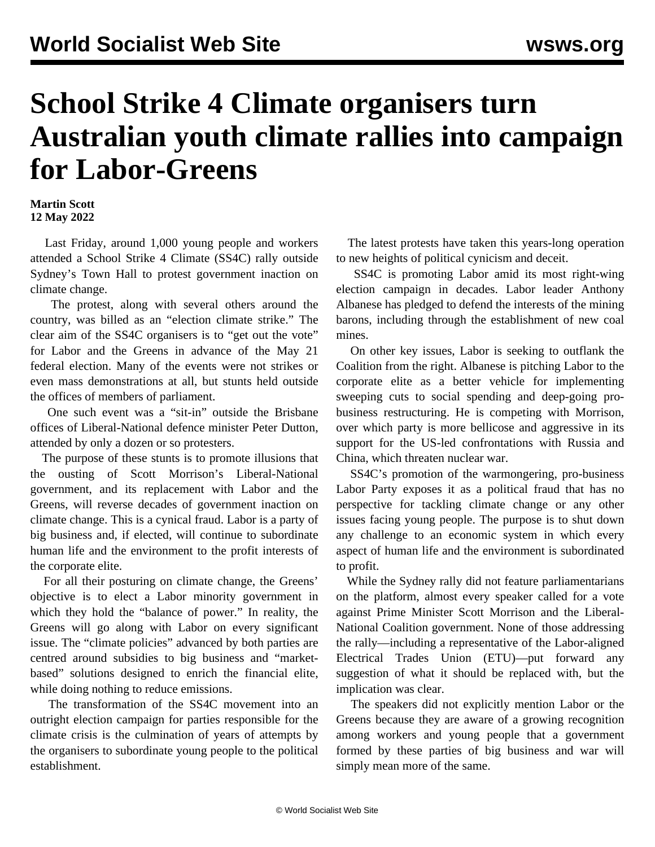## **School Strike 4 Climate organisers turn Australian youth climate rallies into campaign for Labor-Greens**

## **Martin Scott 12 May 2022**

 Last Friday, around 1,000 young people and workers attended a School Strike 4 Climate (SS4C) rally outside Sydney's Town Hall to protest government inaction on climate change.

 The protest, along with several others around the country, was billed as an "election climate strike." The clear aim of the SS4C organisers is to "get out the vote" for Labor and the Greens in advance of the May 21 federal election. Many of the events were not strikes or even mass demonstrations at all, but stunts held outside the offices of members of parliament.

 One such event was a "sit-in" outside the Brisbane offices of Liberal-National defence minister Peter Dutton, attended by only a dozen or so protesters.

 The purpose of these stunts is to promote illusions that the ousting of Scott Morrison's Liberal-National government, and its replacement with Labor and the Greens, will reverse decades of government inaction on climate change. This is a cynical fraud. Labor is a party of big business and, if elected, will continue to subordinate human life and the environment to the profit interests of the corporate elite.

 For all their posturing on climate change, the Greens' objective is to elect a Labor minority government in which they hold the "balance of power." In reality, the Greens will go along with Labor on every significant issue. The "climate policies" advanced by both parties are centred around subsidies to big business and "marketbased" solutions designed to enrich the financial elite, while doing nothing to reduce emissions.

 The transformation of the SS4C movement into an outright election campaign for parties responsible for the climate crisis is the culmination of years of attempts by the organisers to subordinate young people to the political establishment.

 The latest protests have taken this years-long operation to new heights of political cynicism and deceit.

 SS4C is promoting Labor amid its most right-wing election campaign in decades. Labor leader Anthony Albanese has pledged to defend the interests of the mining barons, including through the establishment of new coal mines.

 On other key issues, Labor is seeking to outflank the Coalition from the right. Albanese is pitching Labor to the corporate elite as a better vehicle for implementing sweeping cuts to social spending and deep-going probusiness restructuring. He is competing with Morrison, over which party is more bellicose and aggressive in its support for the US-led confrontations with Russia and China, which threaten nuclear war.

 SS4C's promotion of the warmongering, pro-business Labor Party exposes it as a political fraud that has no perspective for tackling climate change or any other issues facing young people. The purpose is to shut down any challenge to an economic system in which every aspect of human life and the environment is subordinated to profit.

 While the Sydney rally did not feature parliamentarians on the platform, almost every speaker called for a vote against Prime Minister Scott Morrison and the Liberal-National Coalition government. None of those addressing the rally—including a representative of the Labor-aligned Electrical Trades Union (ETU)—put forward any suggestion of what it should be replaced with, but the implication was clear.

 The speakers did not explicitly mention Labor or the Greens because they are aware of a growing recognition among workers and young people that a government formed by these parties of big business and war will simply mean more of the same.